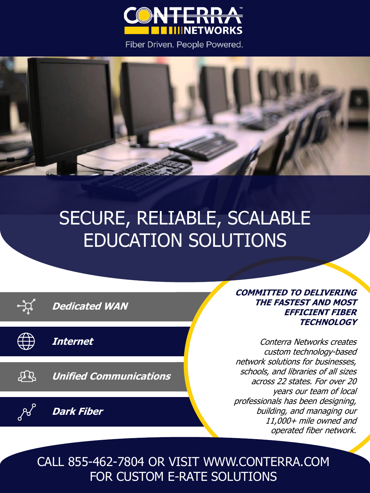

Fiber Driven. People Powered.



## SECURE, RELIABLE, SCALABLE EDUCATION SOLUTIONS

| <b>Dedicated WAN</b>          |  |
|-------------------------------|--|
| Internet                      |  |
| <b>Unified Communications</b> |  |
| <b>Dark Fiber</b>             |  |
|                               |  |

**COMMITTED TO DELIVERING THE FASTEST AND MOST EFFICIENT FIBER TECHNOLOGY**

Conterra Networks creates custom technology-based network solutions for businesses, schools, and libraries of all sizes across 22 states. For over 20 years our team of local professionals has been designing, building, and managing our 11,000+ mile owned and operated fiber network.

CALL 855-462-7804 OR VISIT WWW.CONTERRA.COM FOR CUSTOM E-RATE SOLUTIONS